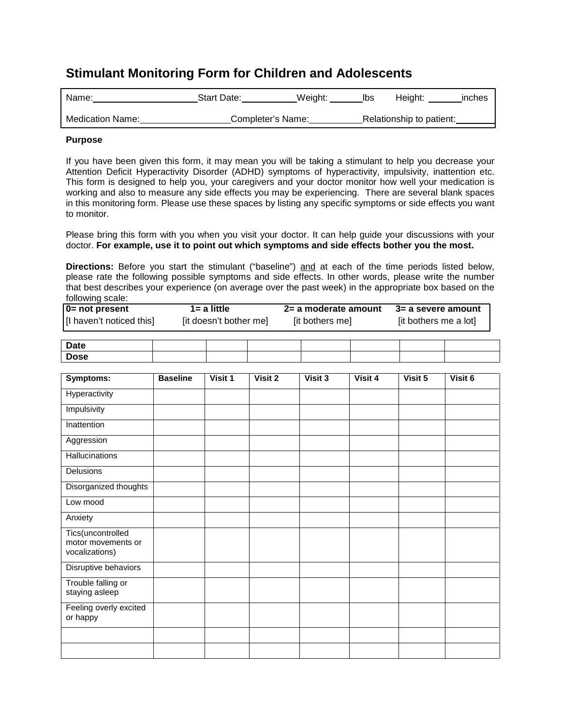## **Stimulant Monitoring Form for Children and Adolescents**

| Name:                   | Start Date:       | Weight: | lbs | Height:                  | inches |
|-------------------------|-------------------|---------|-----|--------------------------|--------|
| <b>Medication Name:</b> | Completer's Name: |         |     | Relationship to patient: |        |

## **Purpose**

If you have been given this form, it may mean you will be taking a stimulant to help you decrease your [Attention Deficit Hyperactivity Disorder \(ADHD\)](http://www.google.com/url?url=http://www.ncbi.nlm.nih.gov/pubmedhealth/PMH0002518/&rct=j&sa=X&ei=5RicTt2vOMbu0gGs-_nDBA&ved=0CFYQ4xIwAA&q=ADHD&usg=AFQjCNEVJJ7qmfuGuCiKhZLyCilHQyRrAQ) symptoms of hyperactivity, impulsivity, inattention etc. This form is designed to help you, your caregivers and your doctor monitor how well your medication is working and also to measure any side effects you may be experiencing. There are several blank spaces in this monitoring form. Please use these spaces by listing any specific symptoms or side effects you want to monitor.

Please bring this form with you when you visit your doctor. It can help guide your discussions with your doctor. **For example, use it to point out which symptoms and side effects bother you the most.** 

**Directions:** Before you start the stimulant ("baseline") and at each of the time periods listed below, please rate the following possible symptoms and side effects. In other words, please write the number that best describes your experience (on average over the past week) in the appropriate box based on the following scale:

| 0= not present           | $1 = a$ little         | 2= a moderate amount | 3= a severe amount    |
|--------------------------|------------------------|----------------------|-----------------------|
| [I haven't noticed this] | [it doesn't bother me] | [it bothers me]      | [it bothers me a lot] |

| <b>Date</b> |  |
|-------------|--|
| <b>Dose</b> |  |

| Symptoms:                                                 | <b>Baseline</b> | Visit 1 | Visit 2 | Visit 3 | Visit 4 | Visit 5 | Visit 6 |
|-----------------------------------------------------------|-----------------|---------|---------|---------|---------|---------|---------|
| Hyperactivity                                             |                 |         |         |         |         |         |         |
| Impulsivity                                               |                 |         |         |         |         |         |         |
| Inattention                                               |                 |         |         |         |         |         |         |
| Aggression                                                |                 |         |         |         |         |         |         |
| Hallucinations                                            |                 |         |         |         |         |         |         |
| Delusions                                                 |                 |         |         |         |         |         |         |
| Disorganized thoughts                                     |                 |         |         |         |         |         |         |
| Low mood                                                  |                 |         |         |         |         |         |         |
| Anxiety                                                   |                 |         |         |         |         |         |         |
| Tics(uncontrolled<br>motor movements or<br>vocalizations) |                 |         |         |         |         |         |         |
| Disruptive behaviors                                      |                 |         |         |         |         |         |         |
| Trouble falling or<br>staying asleep                      |                 |         |         |         |         |         |         |
| Feeling overly excited<br>or happy                        |                 |         |         |         |         |         |         |
|                                                           |                 |         |         |         |         |         |         |
|                                                           |                 |         |         |         |         |         |         |